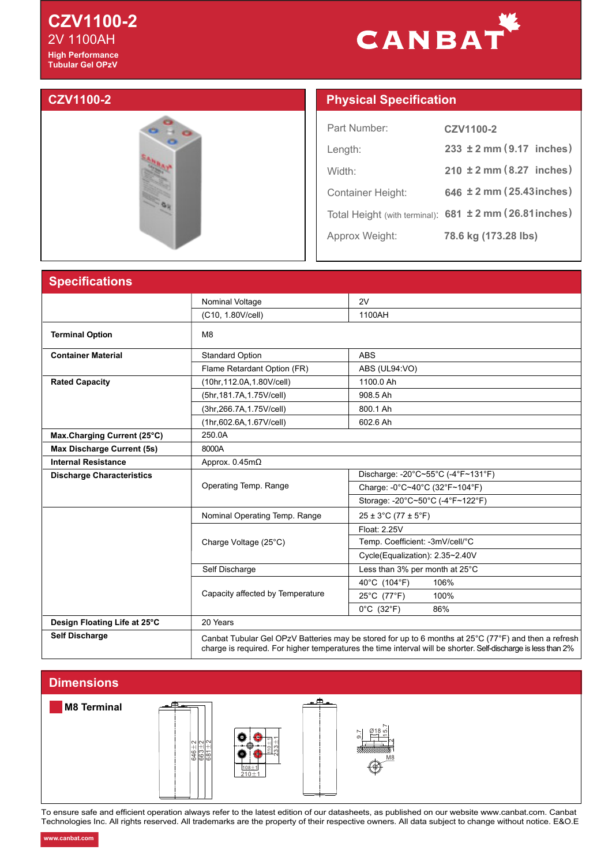## **CZV1100-2 High Performance Tubular Gel OPzV**  2V 1100AH

# CANBAT



# **CZV1100-2 Physical Specification**

| Part Number:             | CZV1100-2                                               |
|--------------------------|---------------------------------------------------------|
| Length:                  | $233 \pm 2$ mm (9.17 inches)                            |
| Width:                   | $210 \pm 2 \text{ mm} (8.27$ inches)                    |
| <b>Container Height:</b> | 646 ± 2 mm (25.43 inches)                               |
|                          | Total Height (with terminal): 681 ± 2 mm (26.81 inches) |
| Approx Weight:           | 78.6 kg (173.28 lbs)                                    |

### **Specification**

| <u>Upvulluutiviiv</u>            |                                  |                                                                                                                                                                                                                       |  |  |  |  |
|----------------------------------|----------------------------------|-----------------------------------------------------------------------------------------------------------------------------------------------------------------------------------------------------------------------|--|--|--|--|
|                                  | Nominal Voltage                  | 2V                                                                                                                                                                                                                    |  |  |  |  |
|                                  | (C10, 1.80V/cell)                | 1100AH                                                                                                                                                                                                                |  |  |  |  |
| <b>Terminal Option</b>           | M <sub>8</sub>                   |                                                                                                                                                                                                                       |  |  |  |  |
| <b>Container Material</b>        | <b>Standard Option</b>           | <b>ABS</b>                                                                                                                                                                                                            |  |  |  |  |
|                                  | Flame Retardant Option (FR)      | ABS (UL94:VO)                                                                                                                                                                                                         |  |  |  |  |
| <b>Rated Capacity</b>            | (10hr, 112.0A, 1.80V/cell)       | 1100.0 Ah                                                                                                                                                                                                             |  |  |  |  |
|                                  | (5hr, 181.7A, 1.75V/cell)        | 908.5 Ah                                                                                                                                                                                                              |  |  |  |  |
|                                  | (3hr, 266.7A, 1.75 V/cell)       | 800.1 Ah                                                                                                                                                                                                              |  |  |  |  |
|                                  | (1hr,602.6A,1.67V/cell)          | 602.6 Ah                                                                                                                                                                                                              |  |  |  |  |
| Max.Charging Current (25°C)      | 250.0A                           |                                                                                                                                                                                                                       |  |  |  |  |
| Max Discharge Current (5s)       | 8000A                            |                                                                                                                                                                                                                       |  |  |  |  |
| <b>Internal Resistance</b>       | Approx. $0.45m\Omega$            |                                                                                                                                                                                                                       |  |  |  |  |
| <b>Discharge Characteristics</b> |                                  | Discharge: -20°C~55°C (-4°F~131°F)                                                                                                                                                                                    |  |  |  |  |
|                                  | Operating Temp. Range            | Charge: -0°C~40°C (32°F~104°F)                                                                                                                                                                                        |  |  |  |  |
|                                  |                                  | Storage: -20°C~50°C (-4°F~122°F)                                                                                                                                                                                      |  |  |  |  |
|                                  | Nominal Operating Temp. Range    | $25 \pm 3^{\circ}$ C (77 ± 5 $^{\circ}$ F)                                                                                                                                                                            |  |  |  |  |
|                                  |                                  | Float: 2.25V                                                                                                                                                                                                          |  |  |  |  |
|                                  | Charge Voltage (25°C)            | Temp. Coefficient: -3mV/cell/°C                                                                                                                                                                                       |  |  |  |  |
|                                  |                                  | Cycle(Equalization): 2.35~2.40V                                                                                                                                                                                       |  |  |  |  |
|                                  | Self Discharge                   | Less than 3% per month at 25°C                                                                                                                                                                                        |  |  |  |  |
|                                  |                                  | 40°C (104°F)<br>106%                                                                                                                                                                                                  |  |  |  |  |
|                                  | Capacity affected by Temperature | 25°C (77°F)<br>100%                                                                                                                                                                                                   |  |  |  |  |
|                                  |                                  | $0^{\circ}$ C (32 $^{\circ}$ F)<br>86%                                                                                                                                                                                |  |  |  |  |
| Design Floating Life at 25°C     | 20 Years                         |                                                                                                                                                                                                                       |  |  |  |  |
| <b>Self Discharge</b>            |                                  | Canbat Tubular Gel OPzV Batteries may be stored for up to 6 months at 25°C (77°F) and then a refresh<br>charge is required. For higher temperatures the time interval will be shorter. Self-discharge is less than 2% |  |  |  |  |

#### **Dimensions**  $\overline{a}$ **M8 Terminal** 15.7 9.7 Ø18233±1  $110 \pm 1$ 10  $646 \pm 2$  $663\pm2$ 681±2 6M8  $\circ$ 108±1 210±1

To ensure safe and efficient operation always refer to the latest edition of our datasheets, as published on our website www.canbat.com. Canbat Technologies Inc. All rights reserved. All trademarks are the property of their respective owners. All data subject to change without notice. E&O.E